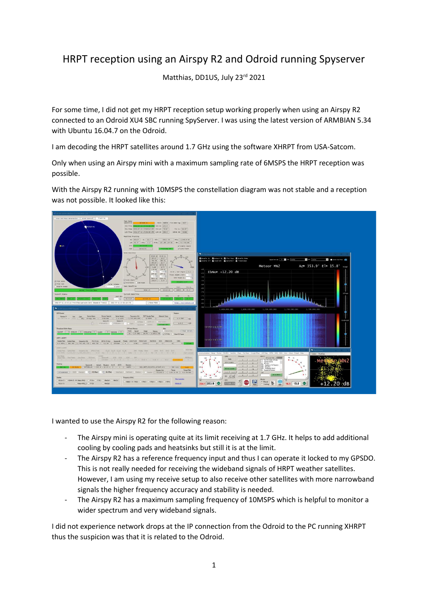## HRPT reception using an Airspy R2 and Odroid running Spyserver

Matthias, DD1US, July 23 rd 2021

For some time, I did not get my HRPT reception setup working properly when using an Airspy R2 connected to an Odroid XU4 SBC running SpyServer. I was using the latest version of ARMBIAN 5.34 with Ubuntu 16.04.7 on the Odroid.

I am decoding the HRPT satellites around 1.7 GHz using the software XHRPT from USA-Satcom.

Only when using an Airspy mini with a maximum sampling rate of 6MSPS the HRPT reception was possible.

With the Airspy R2 running with 10MSPS the constellation diagram was not stable and a reception was not possible. It looked like this:



I wanted to use the Airspy R2 for the following reason:

- The Airspy mini is operating quite at its limit receiving at 1.7 GHz. It helps to add additional cooling by cooling pads and heatsinks but still it is at the limit.
- The Airspy R2 has a reference frequency input and thus I can operate it locked to my GPSDO. This is not really needed for receiving the wideband signals of HRPT weather satellites. However, I am using my receive setup to also receive other satellites with more narrowband signals the higher frequency accuracy and stability is needed.
- The Airspy R2 has a maximum sampling frequency of 10MSPS which is helpful to monitor a wider spectrum and very wideband signals.

I did not experience network drops at the IP connection from the Odroid to the PC running XHRPT thus the suspicion was that it is related to the Odroid.